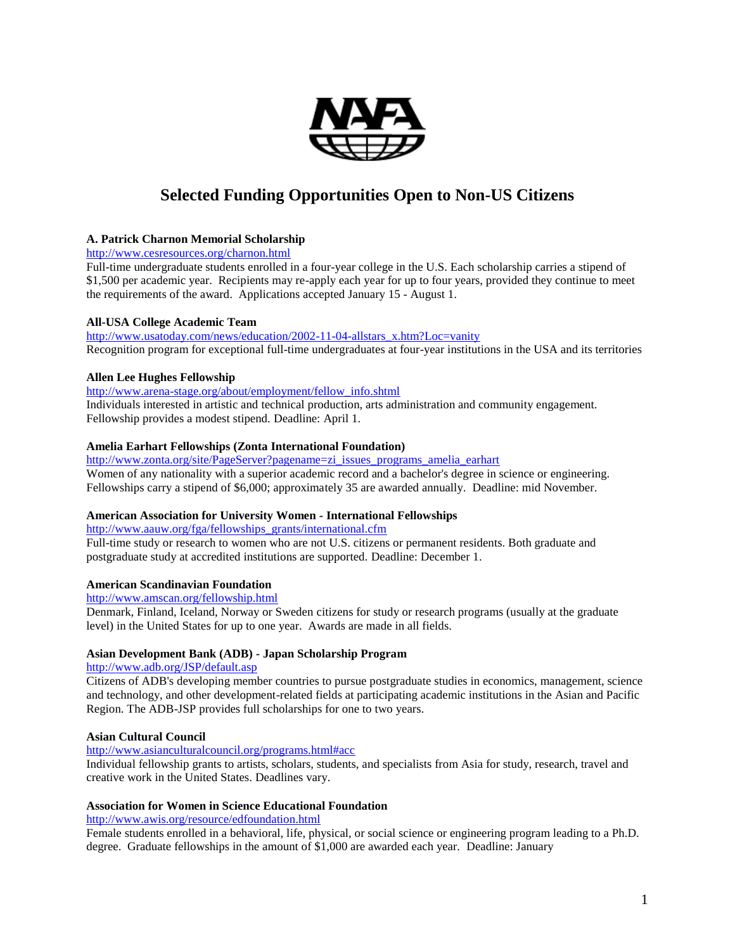

# **Selected Funding Opportunities Open to Non-US Citizens**

# **A. Patrick Charnon Memorial Scholarship**

<http://www.cesresources.org/charnon.html>

Full-time undergraduate students enrolled in a four-year college in the U.S. Each scholarship carries a stipend of \$1,500 per academic year. Recipients may re-apply each year for up to four years, provided they continue to meet the requirements of the award. Applications accepted January 15 - August 1.

#### **All-USA College Academic Team**

[http://www.usatoday.com/news/education/2002-11-04-allstars\\_x.htm?Loc=vanity](http://www.usatoday.com/news/education/2002-11-04-allstars_x.htm?Loc=vanity) Recognition program for exceptional full-time undergraduates at four-year institutions in the USA and its territories

#### **Allen Lee Hughes Fellowship**

[http://www.arena-stage.org/about/employment/fellow\\_info.shtml](http://www.arena-stage.org/about/employment/fellow_info.shtml)

Individuals interested in artistic and technical production, arts administration and community engagement. Fellowship provides a modest stipend. Deadline: April 1.

# **Amelia Earhart Fellowships (Zonta International Foundation)**

[http://www.zonta.org/site/PageServer?pagename=zi\\_issues\\_programs\\_amelia\\_earhart](http://www.zonta.org/site/PageServer?pagename=zi_issues_programs_amelia_earhart) Women of any nationality with a superior academic record and a bachelor's degree in science or engineering. Fellowships carry a stipend of \$6,000; approximately 35 are awarded annually. Deadline: mid November.

# **American Association for University Women - International Fellowships**

[http://www.aauw.org/fga/fellowships\\_grants/international.cfm](http://www.aauw.org/fga/fellowships_grants/international.cfm)

Full-time study or research to women who are not U.S. citizens or permanent residents. Both graduate and postgraduate study at accredited institutions are supported. Deadline: December 1.

#### **American Scandinavian Foundation**

<http://www.amscan.org/fellowship.html>

Denmark, Finland, Iceland, Norway or Sweden citizens for study or research programs (usually at the graduate level) in the United States for up to one year. Awards are made in all fields.

# **Asian Development Bank (ADB) - Japan Scholarship Program**

# <http://www.adb.org/JSP/default.asp>

Citizens of ADB's developing member countries to pursue postgraduate studies in economics, management, science and technology, and other development-related fields at participating academic institutions in the Asian and Pacific Region. The ADB-JSP provides full scholarships for one to two years.

# **Asian Cultural Council**

<http://www.asianculturalcouncil.org/programs.html#acc>

Individual fellowship grants to artists, scholars, students, and specialists from Asia for study, research, travel and creative work in the United States. Deadlines vary.

# **Association for Women in Science Educational Foundation**

<http://www.awis.org/resource/edfoundation.html>

Female students enrolled in a behavioral, life, physical, or social science or engineering program leading to a Ph.D. degree. Graduate fellowships in the amount of \$1,000 are awarded each year. Deadline: January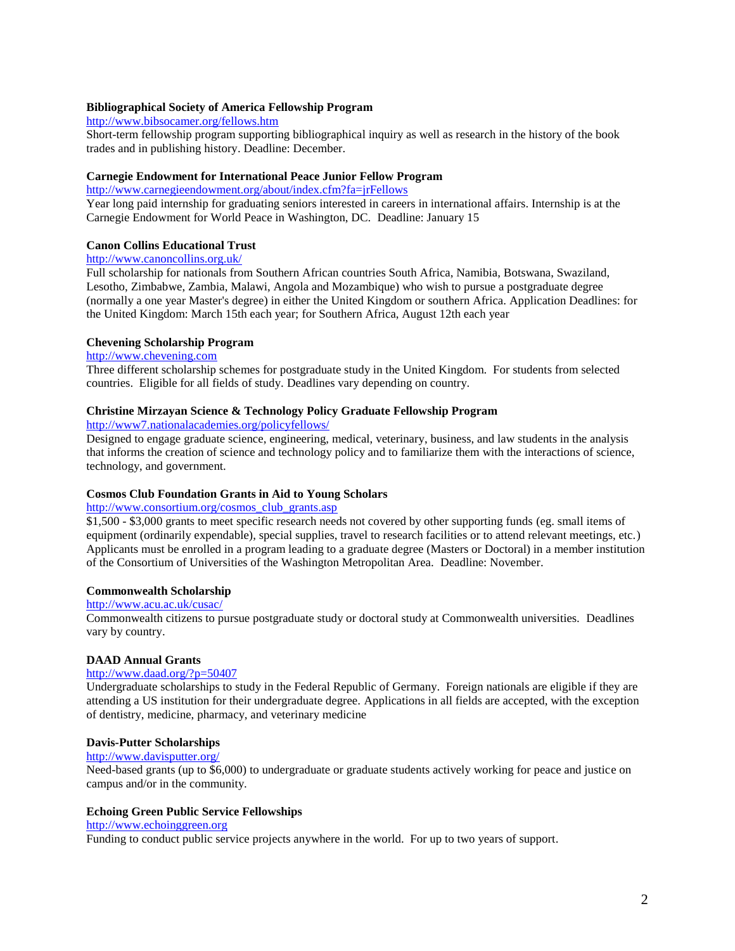#### **Bibliographical Society of America Fellowship Program**

<http://www.bibsocamer.org/fellows.htm>

Short-term fellowship program supporting bibliographical inquiry as well as research in the history of the book trades and in publishing history. Deadline: December.

#### **Carnegie Endowment for International Peace Junior Fellow Program**

<http://www.carnegieendowment.org/about/index.cfm?fa=jrFellows>

Year long paid internship for graduating seniors interested in careers in international affairs. Internship is at the Carnegie Endowment for World Peace in Washington, DC. Deadline: January 15

# **Canon Collins Educational Trust**

# <http://www.canoncollins.org.uk/>

Full scholarship for nationals from Southern African countries South Africa, Namibia, Botswana, Swaziland, Lesotho, Zimbabwe, Zambia, Malawi, Angola and Mozambique) who wish to pursue a postgraduate degree (normally a one year Master's degree) in either the United Kingdom or southern Africa. Application Deadlines: for the United Kingdom: March 15th each year; for Southern Africa, August 12th each year

#### **Chevening Scholarship Program**

# [http://www.chevening.com](http://www.chevening.com/)

Three different scholarship schemes for postgraduate study in the United Kingdom. For students from selected countries. Eligible for all fields of study. Deadlines vary depending on country.

### **Christine Mirzayan Science & Technology Policy Graduate Fellowship Program**

<http://www7.nationalacademies.org/policyfellows/>

Designed to engage graduate science, engineering, medical, veterinary, business, and law students in the analysis that informs the creation of science and technology policy and to familiarize them with the interactions of science, technology, and government.

## **Cosmos Club Foundation Grants in Aid to Young Scholars**

# [http://www.consortium.org/cosmos\\_club\\_grants.asp](http://www.consortium.org/cosmos_club_grants.asp)

\$1,500 - \$3,000 grants to meet specific research needs not covered by other supporting funds (eg. small items of equipment (ordinarily expendable), special supplies, travel to research facilities or to attend relevant meetings, etc.) Applicants must be enrolled in a program leading to a graduate degree (Masters or Doctoral) in a member institution of the Consortium of Universities of the Washington Metropolitan Area. Deadline: November.

## **Commonwealth Scholarship**

#### <http://www.acu.ac.uk/cusac/>

Commonwealth citizens to pursue postgraduate study or doctoral study at Commonwealth universities. Deadlines vary by country.

#### **DAAD Annual Grants**

# <http://www.daad.org/?p=50407>

Undergraduate scholarships to study in the Federal Republic of Germany. Foreign nationals are eligible if they are attending a US institution for their undergraduate degree. Applications in all fields are accepted, with the exception of dentistry, medicine, pharmacy, and veterinary medicine

## **Davis-Putter Scholarships**

#### <http://www.davisputter.org/>

Need-based grants (up to \$6,000) to undergraduate or graduate students actively working for peace and justice on campus and/or in the community.

#### **Echoing Green Public Service Fellowships**

# [http://www.echoinggreen.org](http://www.echoinggreen.org/)

Funding to conduct public service projects anywhere in the world. For up to two years of support.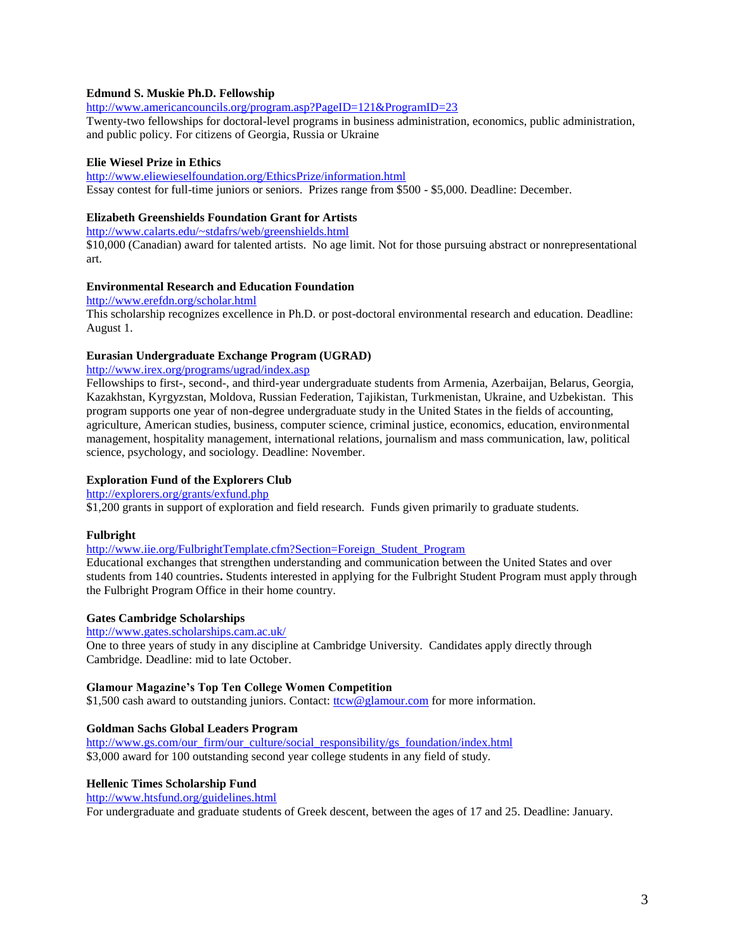# **Edmund S. Muskie Ph.D. Fellowship**

<http://www.americancouncils.org/program.asp?PageID=121&ProgramID=23>

Twenty-two fellowships for doctoral-level programs in business administration, economics, public administration, and public policy. For citizens of Georgia, Russia or Ukraine

## **Elie Wiesel Prize in Ethics**

<http://www.eliewieselfoundation.org/EthicsPrize/information.html> Essay contest for full-time juniors or seniors. Prizes range from \$500 - \$5,000. Deadline: December.

# **Elizabeth Greenshields Foundation Grant for Artists**

<http://www.calarts.edu/~stdafrs/web/greenshields.html>

\$10,000 (Canadian) award for talented artists. No age limit. Not for those pursuing abstract or nonrepresentational art.

# **Environmental Research and Education Foundation**

<http://www.erefdn.org/scholar.html>

This scholarship recognizes excellence in Ph.D. or post-doctoral environmental research and education. Deadline: August 1.

# **Eurasian Undergraduate Exchange Program (UGRAD)**

<http://www.irex.org/programs/ugrad/index.asp>

Fellowships to first-, second-, and third-year undergraduate students from Armenia, Azerbaijan, Belarus, Georgia, Kazakhstan, Kyrgyzstan, Moldova, Russian Federation, Tajikistan, Turkmenistan, Ukraine, and Uzbekistan. This program supports one year of non-degree undergraduate study in the United States in the fields of accounting, agriculture, American studies, business, computer science, criminal justice, economics, education, environmental management, hospitality management, international relations, journalism and mass communication, law, political science, psychology, and sociology. Deadline: November.

# **Exploration Fund of the Explorers Club**

<http://explorers.org/grants/exfund.php>

\$1,200 grants in support of exploration and field research. Funds given primarily to graduate students.

#### **Fulbright**

[http://www.iie.org/FulbrightTemplate.cfm?Section=Foreign\\_Student\\_Program](http://www.iie.org/FulbrightTemplate.cfm?Section=Foreign_Student_Program)

Educational exchanges that strengthen understanding and communication between the United States and over students from 140 countries**.** Students interested in applying for the Fulbright Student Program must apply through the Fulbright Program Office in their home country.

#### **Gates Cambridge Scholarships**

<http://www.gates.scholarships.cam.ac.uk/>

One to three years of study in any discipline at Cambridge University. Candidates apply directly through Cambridge. Deadline: mid to late October.

#### **Glamour Magazine's Top Ten College Women Competition**

\$1,500 cash award to outstanding juniors. Contact: [ttcw@glamour.com](mailto:ttcw@glamour.com) for more information.

#### **Goldman Sachs Global Leaders Program**

[http://www.gs.com/our\\_firm/our\\_culture/social\\_responsibility/gs\\_foundation/index.html](http://www.gs.com/our_firm/our_culture/social_responsibility/gs_foundation/index.html) \$3,000 award for 100 outstanding second year college students in any field of study.

#### **Hellenic Times Scholarship Fund**

<http://www.htsfund.org/guidelines.html>

For undergraduate and graduate students of Greek descent, between the ages of 17 and 25. Deadline: January.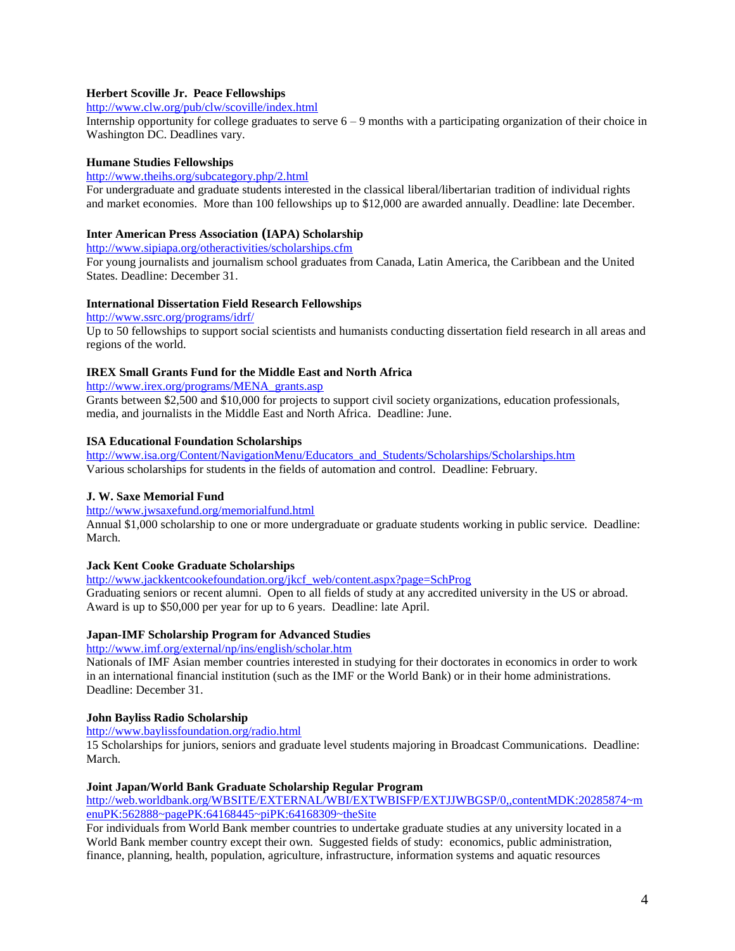## **Herbert Scoville Jr. Peace Fellowships**

<http://www.clw.org/pub/clw/scoville/index.html>

Internship opportunity for college graduates to serve  $6 - 9$  months with a participating organization of their choice in Washington DC. Deadlines vary.

## **Humane Studies Fellowships**

<http://www.theihs.org/subcategory.php/2.html>

For undergraduate and graduate students interested in the classical liberal/libertarian tradition of individual rights and market economies. More than 100 fellowships up to \$12,000 are awarded annually. Deadline: late December.

## **Inter American Press Association (IAPA) Scholarship**

<http://www.sipiapa.org/otheractivities/scholarships.cfm>

For young journalists and journalism school graduates from Canada, Latin America, the Caribbean and the United States. Deadline: December 31.

# **International Dissertation Field Research Fellowships**

<http://www.ssrc.org/programs/idrf/>

Up to 50 fellowships to support social scientists and humanists conducting dissertation field research in all areas and regions of the world.

# **IREX Small Grants Fund for the Middle East and North Africa**

[http://www.irex.org/programs/MENA\\_grants.asp](http://www.irex.org/programs/MENA_grants.asp)

Grants between \$2,500 and \$10,000 for projects to support civil society organizations, education professionals, media, and journalists in the Middle East and North Africa. Deadline: June.

## **ISA Educational Foundation Scholarships**

[http://www.isa.org/Content/NavigationMenu/Educators\\_and\\_Students/Scholarships/Scholarships.htm](http://www.isa.org/Content/NavigationMenu/Educators_and_Students/Scholarships/Scholarships.htm) Various scholarships for students in the fields of automation and control. Deadline: February.

#### **J. W. Saxe Memorial Fund**

<http://www.jwsaxefund.org/memorialfund.html>

Annual \$1,000 scholarship to one or more undergraduate or graduate students working in public service. Deadline: March.

# **Jack Kent Cooke Graduate Scholarships**

[http://www.jackkentcookefoundation.org/jkcf\\_web/content.aspx?page=SchProg](http://www.jackkentcookefoundation.org/jkcf_web/content.aspx?page=SchProg)

Graduating seniors or recent alumni. Open to all fields of study at any accredited university in the US or abroad. Award is up to \$50,000 per year for up to 6 years. Deadline: late April.

# **Japan-IMF Scholarship Program for Advanced Studies**

<http://www.imf.org/external/np/ins/english/scholar.htm>

Nationals of IMF Asian member countries interested in studying for their doctorates in economics in order to work in an international financial institution (such as the IMF or the World Bank) or in their home administrations. Deadline: December 31.

#### **John Bayliss Radio Scholarship**

<http://www.baylissfoundation.org/radio.html>

15 Scholarships for juniors, seniors and graduate level students majoring in Broadcast Communications. Deadline: March.

## **Joint Japan/World Bank Graduate Scholarship Regular Program**

[http://web.worldbank.org/WBSITE/EXTERNAL/WBI/EXTWBISFP/EXTJJWBGSP/0,,contentMDK:20285874~m](http://web.worldbank.org/WBSITE/EXTERNAL/WBI/EXTWBISFP/EXTJJWBGSP/0,,contentMDK:20285874~menuPK:562888~pagePK:64168445~piPK:64168309~theSite) [enuPK:562888~pagePK:64168445~piPK:64168309~theSite](http://web.worldbank.org/WBSITE/EXTERNAL/WBI/EXTWBISFP/EXTJJWBGSP/0,,contentMDK:20285874~menuPK:562888~pagePK:64168445~piPK:64168309~theSite)

For individuals from World Bank member countries to undertake graduate studies at any university located in a World Bank member country except their own. Suggested fields of study: economics, public administration, finance, planning, health, population, agriculture, infrastructure, information systems and aquatic resources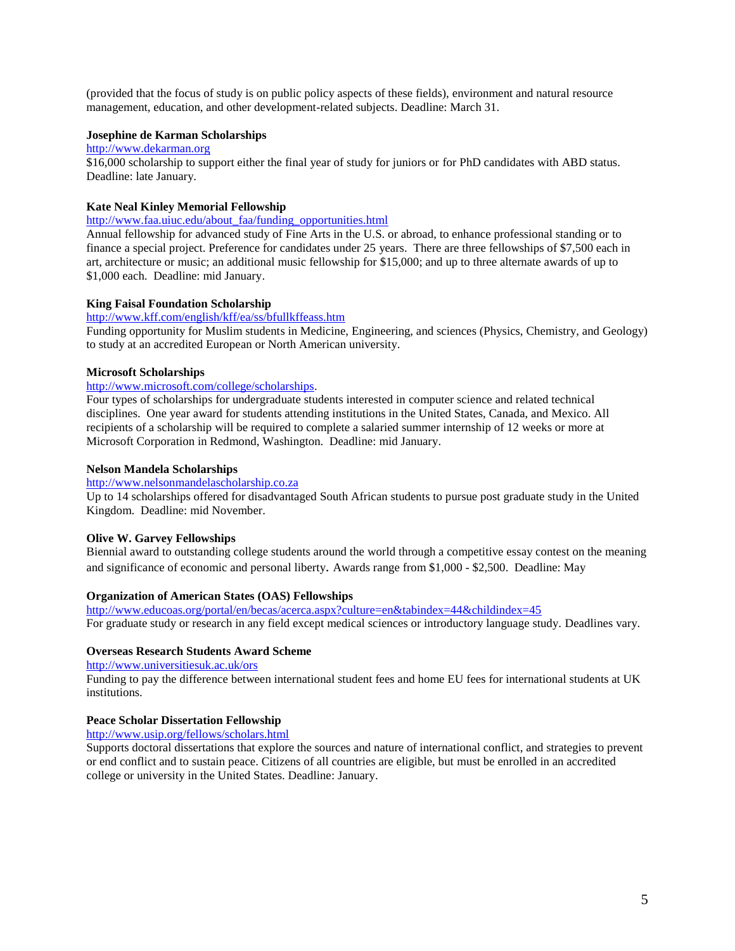(provided that the focus of study is on public policy aspects of these fields), environment and natural resource management, education, and other development-related subjects. Deadline: March 31.

# **Josephine de Karman Scholarships**

#### [http://www.dekarman.org](http://www.dekarman.org/)

\$16,000 scholarship to support either the final year of study for juniors or for PhD candidates with ABD status. Deadline: late January.

## **Kate Neal Kinley Memorial Fellowship**

[http://www.faa.uiuc.edu/about\\_faa/funding\\_opportunities.html](http://www.faa.uiuc.edu/about_faa/funding_opportunities.html)

Annual fellowship for advanced study of Fine Arts in the U.S. or abroad, to enhance professional standing or to finance a special project. Preference for candidates under 25 years. There are three fellowships of \$7,500 each in art, architecture or music; an additional music fellowship for \$15,000; and up to three alternate awards of up to \$1,000 each. Deadline: mid January.

#### **King Faisal Foundation Scholarship**

<http://www.kff.com/english/kff/ea/ss/bfullkffeass.htm>

Funding opportunity for Muslim students in Medicine, Engineering, and sciences (Physics, Chemistry, and Geology) to study at an accredited European or North American university.

# **Microsoft Scholarships**

# [http://www.microsoft.com/college/scholarships.](http://www.microsoft.com/college/scholarships)

Four types of scholarships for undergraduate students interested in computer science and related technical disciplines. One year award for students attending institutions in the United States, Canada, and Mexico. All recipients of a scholarship will be required to complete a salaried summer internship of 12 weeks or more at Microsoft Corporation in Redmond, Washington. Deadline: mid January.

#### **Nelson Mandela Scholarships**

# [http://www.nelsonmandelascholarship.co.za](http://www.nelsonmandelascholarship.co.za/)

Up to 14 scholarships offered for disadvantaged South African students to pursue post graduate study in the United Kingdom. Deadline: mid November.

#### **Olive W. Garvey Fellowships**

Biennial award to outstanding college students around the world through a competitive essay contest on the meaning and significance of economic and personal liberty. Awards range from \$1,000 - \$2,500. Deadline: May

#### **Organization of American States (OAS) Fellowships**

<http://www.educoas.org/portal/en/becas/acerca.aspx?culture=en&tabindex=44&childindex=45> For graduate study or research in any field except medical sciences or introductory language study. Deadlines vary.

#### **Overseas Research Students Award Scheme**

<http://www.universitiesuk.ac.uk/ors>

Funding to pay the difference between international student fees and home EU fees for international students at UK institutions.

# **Peace Scholar Dissertation Fellowship**

<http://www.usip.org/fellows/scholars.html>

Supports doctoral dissertations that explore the sources and nature of international conflict, and strategies to prevent or end conflict and to sustain peace. Citizens of all countries are eligible, but must be enrolled in an accredited college or university in the United States. Deadline: January.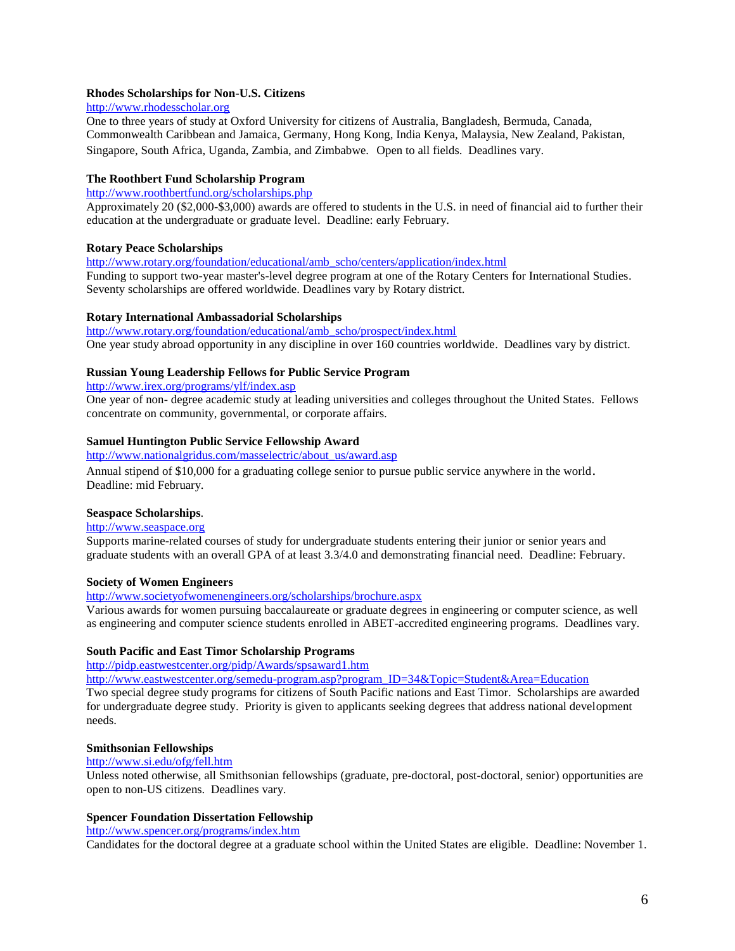# **Rhodes Scholarships for Non-U.S. Citizens**

#### [http://www.rhodesscholar.org](http://www.rhodesscholar.org/)

One to three years of study at Oxford University for citizens of Australia, Bangladesh, Bermuda, Canada, Commonwealth Caribbean and Jamaica, Germany, Hong Kong, India Kenya, Malaysia, New Zealand, Pakistan, Singapore, South Africa, Uganda, Zambia, and Zimbabwe. Open to all fields. Deadlines vary.

# **The Roothbert Fund Scholarship Program**

# <http://www.roothbertfund.org/scholarships.php>

Approximately 20 (\$2,000-\$3,000) awards are offered to students in the U.S. in need of financial aid to further their education at the undergraduate or graduate level. Deadline: early February.

# **Rotary Peace Scholarships**

[http://www.rotary.org/foundation/educational/amb\\_scho/centers/application/index.html](http://www.rotary.org/foundation/educational/amb_scho/centers/application/index.html)

Funding to support two-year master's-level degree program at one of the Rotary Centers for International Studies. Seventy scholarships are offered worldwide. Deadlines vary by Rotary district.

#### **Rotary International Ambassadorial Scholarships**

[http://www.rotary.org/foundation/educational/amb\\_scho/prospect/index.html](http://www.rotary.org/foundation/educational/amb_scho/prospect/index.html) One year study abroad opportunity in any discipline in over 160 countries worldwide. Deadlines vary by district.

# **Russian Young Leadership Fellows for Public Service Program**

<http://www.irex.org/programs/ylf/index.asp>

One year of non- degree academic study at leading universities and colleges throughout the United States. Fellows concentrate on community, governmental, or corporate affairs.

# **Samuel Huntington Public Service Fellowship Award**

[http://www.nationalgridus.com/masselectric/about\\_us/award.asp](http://www.nationalgridus.com/masselectric/about_us/award.asp) Annual stipend of \$10,000 for a graduating college senior to pursue public service anywhere in the world. Deadline: mid February.

# **Seaspace Scholarships**.

# [http://www.seaspace.org](http://www.seaspace.org/)

Supports marine-related courses of study for undergraduate students entering their junior or senior years and graduate students with an overall GPA of at least 3.3/4.0 and demonstrating financial need. Deadline: February.

#### **Society of Women Engineers**

<http://www.societyofwomenengineers.org/scholarships/brochure.aspx>

Various awards for women pursuing baccalaureate or graduate degrees in engineering or computer science, as well as engineering and computer science students enrolled in ABET-accredited engineering programs. Deadlines vary.

# **South Pacific and East Timor Scholarship Programs**

<http://pidp.eastwestcenter.org/pidp/Awards/spsaward1.htm>

[http://www.eastwestcenter.org/semedu-program.asp?program\\_ID=34&Topic=Student&Area=Education](http://www.eastwestcenter.org/semedu-program.asp?program_ID=34&Topic=Student&Area=Education)

Two special degree study programs for citizens of South Pacific nations and East Timor. Scholarships are awarded for undergraduate degree study. Priority is given to applicants seeking degrees that address national development needs.

#### **Smithsonian Fellowships**

<http://www.si.edu/ofg/fell.htm>

Unless noted otherwise, all Smithsonian fellowships (graduate, pre-doctoral, post-doctoral, senior) opportunities are open to non-US citizens. Deadlines vary.

#### **Spencer Foundation Dissertation Fellowship**

<http://www.spencer.org/programs/index.htm>

Candidates for the doctoral degree at a graduate school within the United States are eligible. Deadline: November 1.